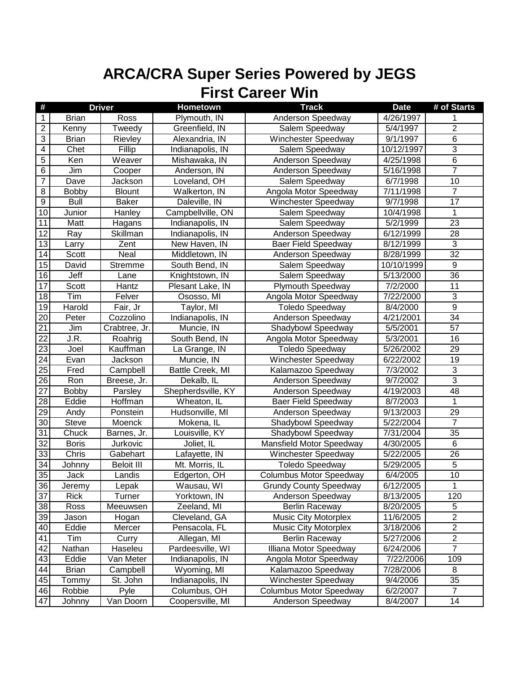| $\#$            |              | <b>Driver</b>     | Hometown           | <b>Track</b>                   | <b>Date</b>        | # of Starts             |
|-----------------|--------------|-------------------|--------------------|--------------------------------|--------------------|-------------------------|
| $\mathbf{1}$    | <b>Brian</b> | Ross              | Plymouth, IN       | Anderson Speedway              | 4/26/1997          |                         |
| $\overline{2}$  | Kenny        | Tweedy            | Greenfield, IN     | Salem Speedway                 | 5/4/1997           | $\overline{\mathbf{c}}$ |
| $\overline{3}$  | <b>Brian</b> | Rievley           | Alexandria, IN     | Winchester Speedway            | 9/1/1997           | $\overline{6}$          |
| $\overline{4}$  | Chet         | Fillip            | Indianapolis, IN   | Salem Speedway                 | 10/12/1997         | 3                       |
| $\overline{5}$  | Ken          | Weaver            | Mishawaka, IN      | Anderson Speedway              | 4/25/1998          | $\overline{6}$          |
| $\overline{6}$  | Jim          | Cooper            | Anderson, IN       | Anderson Speedway              | 5/16/1998          | $\overline{7}$          |
| $\overline{7}$  | Dave         | Jackson           | Loveland, OH       | Salem Speedway                 | 6/7/1998           | 10                      |
| 8               | <b>Bobby</b> | <b>Blount</b>     | Walkerton, IN      | Angola Motor Speedway          | 7/11/1998          | $\overline{7}$          |
| 9               | <b>Bull</b>  | Baker             | Daleville, IN      | Winchester Speedway            | 9/7/1998           | 17                      |
| 10              | Junior       | Hanley            | Campbellville, ON  | Salem Speedway                 | 10/4/1998          | 1                       |
| 11              | Matt         | Hagans            | Indianapolis, IN   | Salem Speedway                 | 5/2/1999           | 23                      |
| 12              | Ray          | Skillman          | Indianapolis, IN   | Anderson Speedway              | 6/12/1999          | 28                      |
| 13              | Larry        | Zent              | New Haven, IN      | <b>Baer Field Speedway</b>     | 8/12/1999          | 3                       |
| 14              | Scott        | Neal              | Middletown, IN     | Anderson Speedway              | 8/28/1999          | $\overline{32}$         |
| 15              | David        | <b>Stremme</b>    | South Bend, IN     | Salem Speedway                 | 10/10/1999         | 9                       |
| 16              | Jeff         | Lane              | Knightstown, IN    | Salem Speedway                 | 5/13/2000          | 36                      |
| $\overline{17}$ | Scott        | Hantz             | Plesant Lake, IN   | <b>Plymouth Speedway</b>       | 7/2/2000           | 11                      |
| 18              | Tim          | Felver            | Ososso, MI         | Angola Motor Speedway          | 7/22/2000          | $\sqrt{3}$              |
| 19              | Harold       | Fair, Jr          | Taylor, MI         | <b>Toledo Speedway</b>         | 8/4/2000           | $\overline{9}$          |
| $\overline{20}$ | Peter        | Cozzolino         | Indianapolis, IN   | Anderson Speedway              | 4/21/2001          | 34                      |
| 21              | Jim          | Crabtree, Jr.     | Muncie, IN         | Shadybowl Speedway             | 5/5/2001           | 57                      |
| $\overline{22}$ | J.R.         | Roahrig           | South Bend, IN     | Angola Motor Speedway          | 5/3/2001           | 16                      |
| 23              | Joel         | Kauffman          | La Grange, IN      | <b>Toledo Speedway</b>         | 5/26/2002          | 29                      |
| $\overline{24}$ | Evan         | <b>Jackson</b>    | Muncie, IN         | <b>Winchester Speedway</b>     | 6/22/2002          | 19                      |
| 25              | Fred         | Campbell          | Battle Creek, MI   | Kalamazoo Speedway             | 7/3/2002           | $\sqrt{3}$              |
| $\overline{26}$ | Ron          | Breese, Jr.       | Dekalb, IL         | Anderson Speedway              | 9/7/2002           | $\overline{3}$          |
| $\overline{27}$ | <b>Bobby</b> | Parsley           | Shepherdsville, KY | Anderson Speedway              | 4/19/2003          | 48                      |
| $\overline{28}$ | Eddie        | Hoffman           | Wheaton, IL        | <b>Baer Field Speedway</b>     | 8/7/2003           | 1                       |
| 29              | Andy         | Ponstein          | Hudsonville, MI    | Anderson Speedway              | 9/13/2003          | 29                      |
| 30              | Steve        | Moenck            | Mokena, IL         | Shadybowl Speedway             | 5/22/2004          | $\overline{7}$          |
| 31              | Chuck        | Barnes, Jr.       | Louisville, KY     | Shadybowl Speedway             | 7/31/2004          | 35                      |
| $\overline{32}$ | <b>Boris</b> | Jurkovic          | Joliet, IL         | Mansfield Motor Speedway       | 4/30/2005          | 6                       |
| 33              | Chris        | Gabehart          | Lafayette, IN      | Winchester Speedway            | $\sqrt{5/22/2005}$ | 26                      |
| 34              | Johnny       | <b>Beloit III</b> | Mt. Morris, IL     | <b>Toledo Speedway</b>         | 5/29/2005          | 5                       |
| 35              | Jack         | Landis            | Edgerton, OH       | <b>Columbus Motor Speedway</b> | 6/4/2005           | 10                      |
| 36              | Jeremy       | Lepak             | Wausau, WI         | <b>Grundy County Speedway</b>  | 6/12/2005          | 1                       |
| 37              | <b>Rick</b>  | Turner            | Yorktown, IN       | Anderson Speedway              | 8/13/2005          | 120                     |
| $\overline{38}$ | Ross         | Meeuwsen          | Zeeland, MI        | <b>Berlin Raceway</b>          | 8/20/2005          | 5                       |
| 39              | Jason        | Hogan             | Cleveland, GA      | <b>Music City Motorplex</b>    | 11/6/2005          | $\overline{2}$          |
| 40              | Eddie        | Mercer            | Pensacola, FL      | <b>Music City Motorplex</b>    | 3/18/2006          | $\overline{c}$          |
| 41              | Tim          | Curry             | Allegan, MI        | <b>Berlin Raceway</b>          | 5/27/2006          | $\overline{2}$          |
| 42              | Nathan       | Haseleu           | Pardeesville, WI   | Illiana Motor Speedway         | 6/24/2006          | $\overline{7}$          |
| 43              | Eddie        | Van Meter         | Indianapolis, IN   | Angola Motor Speedway          | 7/22/2006          | 109                     |
| 44              | <b>Brian</b> | Campbell          | Wyoming, MI        | Kalamazoo Speedway             | 7/28/2006          | 8                       |
| 45              | Tommy        | St. John          | Indianapolis, IN   | <b>Winchester Speedway</b>     | 9/4/2006           | 35                      |
| 46              | Robbie       | Pyle              | Columbus, OH       | <b>Columbus Motor Speedway</b> | 6/2/2007           | $\overline{7}$          |
| 47              | Johnny       | Van Doorn         | Coopersville, MI   | Anderson Speedway              | 8/4/2007           | 14                      |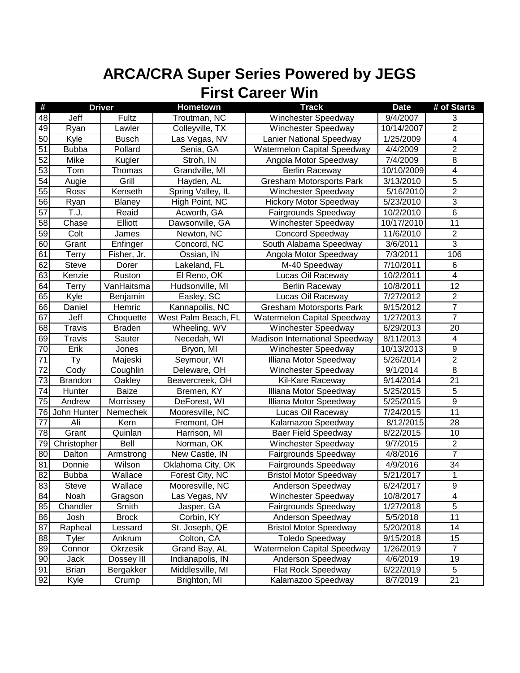| #               |                | <b>Driver</b> | Hometown            | <b>Track</b>                       | <b>Date</b> | # of Starts             |
|-----------------|----------------|---------------|---------------------|------------------------------------|-------------|-------------------------|
| 48              | Jeff           | Fultz         | Troutman, NC        | Winchester Speedway                | 9/4/2007    | 3                       |
| 49              | Ryan           | Lawler        | Colleyville, TX     | Winchester Speedway                | 10/14/2007  | $\overline{2}$          |
| $\overline{50}$ | Kyle           | <b>Busch</b>  | Las Vegas, NV       | Lanier National Speedway           | 1/25/2009   | $\overline{4}$          |
| $\overline{51}$ | <b>Bubba</b>   | Pollard       | Senia, GA           | <b>Watermelon Capital Speedway</b> | 4/4/2009    | $\overline{2}$          |
| 52              | <b>Mike</b>    | Kugler        | Stroh, IN           | Angola Motor Speedway              | 7/4/2009    | $\overline{8}$          |
| 53              | Tom            | Thomas        | Grandville, MI      | <b>Berlin Raceway</b>              | 10/10/2009  | $\overline{4}$          |
| $\overline{54}$ | Augie          | Grill         | Hayden, AL          | <b>Gresham Motorsports Park</b>    | 3/13/2010   | $\overline{5}$          |
| $\overline{55}$ | Ross           | Kenseth       | Spring Valley, IL   | Winchester Speedway                | 5/16/2010   | $\overline{2}$          |
| 56              | Ryan           | Blaney        | High Point, NC      | <b>Hickory Motor Speedway</b>      | 5/23/2010   | $\overline{3}$          |
| 57              | T.J.           | Reaid         | Acworth, GA         | Fairgrounds Speedway               | 10/2/2010   | 6                       |
| 58              | Chase          | Elliott       | Dawsonville, GA     | Winchester Speedway                | 10/17/2010  | 11                      |
| 59              | Colt           | James         | Newton, NC          | <b>Concord Speedway</b>            | 11/6/2010   | $\overline{2}$          |
| 60              | Grant          | Enfinger      | Concord, NC         | South Alabama Speedway             | 3/6/2011    | 3                       |
| 61              | <b>Terry</b>   | Fisher, Jr.   | Ossian, IN          | Angola Motor Speedway              | 7/3/2011    | 106                     |
| 62              | Steve          | Dorer         | Lakeland, FL        | M-40 Speedway                      | 7/10/2011   | 6                       |
| 63              | Kenzie         | Ruston        | El Reno, OK         | Lucas Oil Raceway                  | 10/2/2011   | $\overline{\mathbf{4}}$ |
| 64              | Terry          | VanHaitsma    | Hudsonville, MI     | <b>Berlin Raceway</b>              | 10/8/2011   | 12                      |
| 65              | Kyle           | Benjamin      | Easley, SC          | Lucas Oil Raceway                  | 7/27/2012   | $\overline{c}$          |
| 66              | Daniel         | Hemric        | Kannapoilis, NC     | <b>Gresham Motorsports Park</b>    | 9/15/2012   | $\overline{7}$          |
| 67              | Jeff           | Choquette     | West Palm Beach, FL | Watermelon Capital Speedway        | 1/27/2013   | $\overline{7}$          |
| 68              | <b>Travis</b>  | <b>Braden</b> | Wheeling, WV        | Winchester Speedway                | 6/29/2013   | 20                      |
| 69              | <b>Travis</b>  | Sauter        | Necedah, WI         | Madison International Speedway     | 8/11/2013   | 4                       |
| 70              | Erik           | Jones         | Bryon, MI           | Winchester Speedway                | 10/13/2013  | $\overline{9}$          |
| 71              | <b>Ty</b>      | Majeski       | Seymour, WI         | Illiana Motor Speedway             | 5/26/2014   | $\overline{2}$          |
| $\overline{72}$ | Cody           | Coughlin      | Deleware, OH        | Winchester Speedway                | 9/1/2014    | $\overline{8}$          |
| 73              | <b>Brandon</b> | Oakley        | Beavercreek, OH     | Kil-Kare Raceway                   | 9/14/2014   | 21                      |
| 74              | Hunter         | <b>Baize</b>  | Bremen, KY          | Illiana Motor Speedway             | 5/25/2015   | 5                       |
| 75              | Andrew         | Morrissey     | DeForest, WI        | Illiana Motor Speedway             | 5/25/2015   | 9                       |
| 76              | John Hunter    | Nemechek      | Mooresville, NC     | Lucas Oil Raceway                  | 7/24/2015   | 11                      |
| 77              | Ali            | Kern          | Fremont, OH         | Kalamazoo Speedway                 | 8/12/2015   | 28                      |
| 78              | Grant          | Quinlan       | Harrison, MI        | <b>Baer Field Speedway</b>         | 8/22/2015   | 10                      |
| 79              | Christopher    | Bell          | Norman, OK          | Winchester Speedway                | 9/7/2015    | $\overline{2}$          |
| 80              | Dalton         | Armstrong     | New Castle, IN      | Fairgrounds Speedway               | 4/8/2016    | 7                       |
| 81              | Donnie         | Wilson        | Oklahoma City, OK   | Fairgrounds Speedway               | 4/9/2016    | 34                      |
| 82              | <b>Bubba</b>   | Wallace       | Forest City, NC     | <b>Bristol Motor Speedway</b>      | 5/21/2017   | 1                       |
| 83              | Steve          | Wallace       | Mooresville, NC     | Anderson Speedway                  | 6/24/2017   | 9                       |
| 84              | Noah           | Gragson       | Las Vegas, NV       | Winchester Speedway                | 10/8/2017   | 4                       |
| 85              | Chandler       | Smith         | Jasper, GA          | Fairgrounds Speedway               | 1/27/2018   | $\overline{5}$          |
| 86              | Josh           | <b>Brock</b>  | Corbin, KY          | Anderson Speedway                  | 5/5/2018    | 11                      |
| 87              | Rapheal        | Lessard       | St. Joseph, QE      | <b>Bristol Motor Speedway</b>      | 5/20/2018   | 14                      |
| 88              | <b>Tyler</b>   | Ankrum        | Colton, CA          | <b>Toledo Speedway</b>             | 9/15/2018   | 15                      |
| 89              | Connor         | Okrzesik      | Grand Bay, AL       | Watermelon Capital Speedway        | 1/26/2019   | $\overline{7}$          |
| 90              | Jack           | Dossey III    | Indianapolis, IN    | Anderson Speedway                  | 4/6/2019    | 19                      |
| 91              | <b>Brian</b>   | Bergakker     | Middlesville, MI    | Flat Rock Speedway                 | 6/22/2019   | 5                       |
| 92              | Kyle           | Crump         | Brighton, MI        | Kalamazoo Speedway                 | 8/7/2019    | 21                      |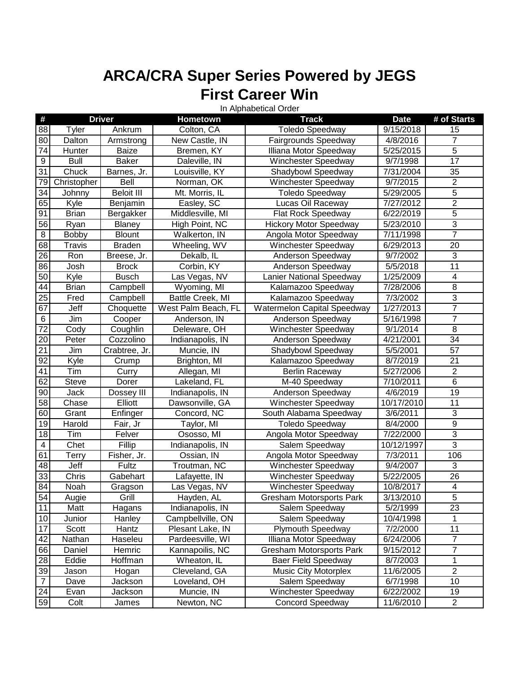In Alphabetical Order

| #                |               | <b>Driver</b> | Hometown            | <b>Track</b>                    | <b>Date</b>            | # of Starts     |
|------------------|---------------|---------------|---------------------|---------------------------------|------------------------|-----------------|
| $\overline{88}$  | Tyler         | Ankrum        | Colton, CA          | <b>Toledo Speedway</b>          | 9/15/2018              | 15              |
| 80               | Dalton        | Armstrong     | New Castle, IN      | Fairgrounds Speedway            | 4/8/2016               | 7               |
| $\overline{74}$  | Hunter        | <b>Baize</b>  | Bremen, KY          | Illiana Motor Speedway          | 5/25/2015              | $\overline{5}$  |
| $\overline{9}$   | <b>Bull</b>   | <b>Baker</b>  | Daleville, IN       | <b>Winchester Speedway</b>      | 9/7/1998               | 17              |
| 31               | Chuck         | Barnes, Jr.   | Louisville, KY      | Shadybowl Speedway              | 7/31/2004              | 35              |
| 79               | Christopher   | Bell          | Norman, OK          | Winchester Speedway             | 9/7/2015               | $\overline{c}$  |
| 34               | Johnny        | Beloit III    | Mt. Morris, IL      | <b>Toledo Speedway</b>          | 5/29/2005              | 5               |
| 65               | Kyle          | Benjamin      | Easley, SC          | Lucas Oil Raceway               | 7/27/2012              | $\overline{2}$  |
| 91               | <b>Brian</b>  | Bergakker     | Middlesville, MI    | Flat Rock Speedway              | 6/22/2019              | 5               |
| 56               | Ryan          | <b>Blaney</b> | High Point, NC      | <b>Hickory Motor Speedway</b>   | 5/23/2010              | $\overline{3}$  |
| $\bf 8$          | <b>Bobby</b>  | <b>Blount</b> | Walkerton, IN       | Angola Motor Speedway           | 7/11/1998              | $\overline{7}$  |
| 68               | <b>Travis</b> | <b>Braden</b> | Wheeling, WV        | Winchester Speedway             | 6/29/2013              | $\overline{20}$ |
| $\overline{26}$  | Ron           | Breese, Jr.   | Dekalb, IL          | Anderson Speedway               | 9/7/2002               | $\overline{3}$  |
| 86               | Josh          | <b>Brock</b>  | Corbin, KY          | Anderson Speedway               | 5/5/2018               | $\overline{11}$ |
| 50               | Kyle          | <b>Busch</b>  | Las Vegas, NV       | Lanier National Speedway        | 1/25/2009              | 4               |
| $\overline{44}$  | <b>Brian</b>  | Campbell      | Wyoming, MI         | Kalamazoo Speedway              | 7/28/2006              | $\overline{8}$  |
| 25               | Fred          | Campbell      | Battle Creek, MI    | Kalamazoo Speedway              | 7/3/2002               | $\overline{3}$  |
| 67               | Jeff          | Choquette     | West Palm Beach, FL | Watermelon Capital Speedway     | 1/27/2013              | $\overline{7}$  |
| $\,6$            | Jim           | Cooper        | Anderson, IN        | Anderson Speedway               | 5/16/1998              | 7               |
| $\overline{72}$  | Cody          | Coughlin      | Deleware, OH        | Winchester Speedway             | 9/1/2014               | $\overline{8}$  |
| 20               | Peter         | Cozzolino     | Indianapolis, IN    | Anderson Speedway               | 4/21/2001              | 34              |
| $\overline{21}$  | Jim           | Crabtree, Jr. | Muncie, IN          | Shadybowl Speedway              | 5/5/2001               | 57              |
| 92               | Kyle          | Crump         | Brighton, MI        | Kalamazoo Speedway              | 8/7/2019               | 21              |
| 41               | Tim           | Curry         | Allegan, MI         | Berlin Raceway                  | 5/27/2006              | $\overline{2}$  |
| 62               | <b>Steve</b>  | Dorer         | Lakeland, FL        | M-40 Speedway                   | 7/10/2011              | 6               |
| 90               | Jack          | Dossey III    | Indianapolis, IN    | Anderson Speedway               | 4/6/2019               | 19              |
| $\overline{58}$  | Chase         | Elliott       | Dawsonville, GA     | Winchester Speedway             | 10/17/2010             | 11              |
| 60               | Grant         | Enfinger      | Concord, NC         | South Alabama Speedway          | 3/6/2011               | $\overline{3}$  |
| 19               | Harold        | Fair, Jr      | Taylor, MI          | <b>Toledo Speedway</b>          | 8/4/2000               | $\overline{9}$  |
| 18               | Tim           | Felver        | Ososso, MI          | Angola Motor Speedway           | 7/22/2000              | $\overline{3}$  |
| $\overline{4}$   | Chet          | Fillip        | Indianapolis, IN    | Salem Speedway                  | 10/12/1997             | $\overline{3}$  |
| 61               | <b>Terry</b>  | Fisher, Jr.   | Ossian, IN          | Angola Motor Speedway           | 7/3/2011               | 106             |
| 48               | Jeff          | Fultz         | Troutman, NC        | Winchester Speedway             | 9/4/2007               | 3               |
| 33               | Chris         | Gabehart      | Lafayette, IN       | Winchester Speedway             | $\overline{5}/22/2005$ | 26              |
| $\overline{84}$  | Noah          | Gragson       | Las Vegas, NV       | Winchester Speedway             | 10/8/2017              | 4               |
| $\overline{54}$  | Augie         | Grill         | Hayden, AL          | <b>Gresham Motorsports Park</b> | 3/13/2010              | 5               |
| $\overline{11}$  | Matt          | Hagans        | Indianapolis, IN    | Salem Speedway                  | 5/2/1999               | $\overline{23}$ |
| $10$             | Junior        | Hanley        | Campbellville, ON   | Salem Speedway                  | 10/4/1998              | 1               |
| 17               | Scott         | Hantz         | Plesant Lake, IN    | <b>Plymouth Speedway</b>        | 7/2/2000               | 11              |
| 42               | Nathan        | Haseleu       | Pardeesville, WI    | Illiana Motor Speedway          | 6/24/2006              | $\overline{7}$  |
| 66               | Daniel        | Hemric        | Kannapoilis, NC     | <b>Gresham Motorsports Park</b> | 9/15/2012              | $\overline{7}$  |
| 28               | Eddie         | Hoffman       | Wheaton, IL         | <b>Baer Field Speedway</b>      | 8/7/2003               | $\mathbf{1}$    |
| 39               | Jason         | Hogan         | Cleveland, GA       | <b>Music City Motorplex</b>     | 11/6/2005              | $\overline{2}$  |
| $\boldsymbol{7}$ | Dave          | Jackson       | Loveland, OH        | Salem Speedway                  | 6/7/1998               | 10              |
| $\overline{24}$  | Evan          | Jackson       | Muncie, IN          | Winchester Speedway             | 6/22/2002              | 19              |
| 59               | Colt          | James         | Newton, NC          | <b>Concord Speedway</b>         | 11/6/2010              | $\overline{c}$  |